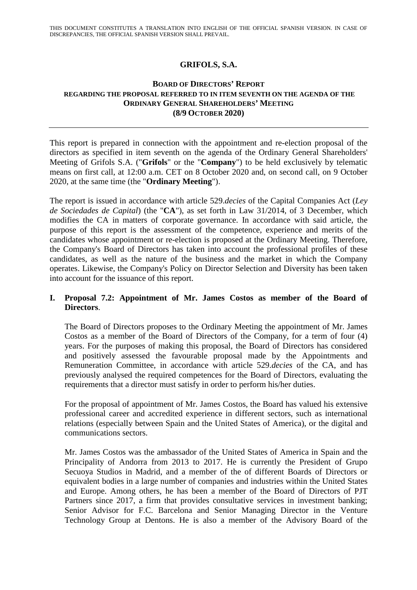# **GRIFOLS, S.A.**

#### **BOARD OF DIRECTORS' REPORT REGARDING THE PROPOSAL REFERRED TO IN ITEM SEVENTH ON THE AGENDA OF THE ORDINARY GENERAL SHAREHOLDERS' MEETING (8/9 OCTOBER 2020)**

This report is prepared in connection with the appointment and re-election proposal of the directors as specified in item seventh on the agenda of the Ordinary General Shareholders' Meeting of Grifols S.A. ("**Grifols**" or the "**Company**") to be held exclusively by telematic means on first call, at 12:00 a.m. CET on 8 October 2020 and, on second call, on 9 October 2020, at the same time (the "**Ordinary Meeting**").

The report is issued in accordance with article 529.*decies* of the Capital Companies Act (*Ley de Sociedades de Capital*) (the "**CA**"), as set forth in Law 31/2014, of 3 December, which modifies the CA in matters of corporate governance. In accordance with said article, the purpose of this report is the assessment of the competence, experience and merits of the candidates whose appointment or re-election is proposed at the Ordinary Meeting. Therefore, the Company's Board of Directors has taken into account the professional profiles of these candidates, as well as the nature of the business and the market in which the Company operates. Likewise, the Company's Policy on Director Selection and Diversity has been taken into account for the issuance of this report.

### **I. Proposal 7.2: Appointment of Mr. James Costos as member of the Board of Directors**.

The Board of Directors proposes to the Ordinary Meeting the appointment of Mr. James Costos as a member of the Board of Directors of the Company, for a term of four (4) years. For the purposes of making this proposal, the Board of Directors has considered and positively assessed the favourable proposal made by the Appointments and Remuneration Committee, in accordance with article 529.*decies* of the CA, and has previously analysed the required competences for the Board of Directors, evaluating the requirements that a director must satisfy in order to perform his/her duties.

For the proposal of appointment of Mr. James Costos, the Board has valued his extensive professional career and accredited experience in different sectors, such as international relations (especially between Spain and the United States of America), or the digital and communications sectors.

Mr. James Costos was the ambassador of the United States of America in Spain and the Principality of Andorra from 2013 to 2017. He is currently the President of Grupo Secuoya Studios in Madrid, and a member of the of different Boards of Directors or equivalent bodies in a large number of companies and industries within the United States and Europe. Among others, he has been a member of the Board of Directors of PJT Partners since 2017, a firm that provides consultative services in investment banking; Senior Advisor for F.C. Barcelona and Senior Managing Director in the Venture Technology Group at Dentons. He is also a member of the Advisory Board of the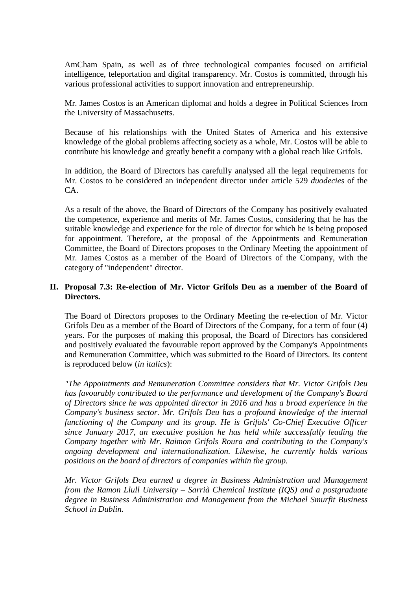AmCham Spain, as well as of three technological companies focused on artificial intelligence, teleportation and digital transparency. Mr. Costos is committed, through his various professional activities to support innovation and entrepreneurship.

Mr. James Costos is an American diplomat and holds a degree in Political Sciences from the University of Massachusetts.

Because of his relationships with the United States of America and his extensive knowledge of the global problems affecting society as a whole, Mr. Costos will be able to contribute his knowledge and greatly benefit a company with a global reach like Grifols.

In addition, the Board of Directors has carefully analysed all the legal requirements for Mr. Costos to be considered an independent director under article 529 *duodecies* of the CA.

As a result of the above, the Board of Directors of the Company has positively evaluated the competence, experience and merits of Mr. James Costos, considering that he has the suitable knowledge and experience for the role of director for which he is being proposed for appointment. Therefore, at the proposal of the Appointments and Remuneration Committee, the Board of Directors proposes to the Ordinary Meeting the appointment of Mr. James Costos as a member of the Board of Directors of the Company, with the category of "independent" director.

### **II. Proposal 7.3: Re-election of Mr. Victor Grifols Deu as a member of the Board of Directors.**

The Board of Directors proposes to the Ordinary Meeting the re-election of Mr. Victor Grifols Deu as a member of the Board of Directors of the Company, for a term of four (4) years. For the purposes of making this proposal, the Board of Directors has considered and positively evaluated the favourable report approved by the Company's Appointments and Remuneration Committee, which was submitted to the Board of Directors. Its content is reproduced below (*in italics*):

*"The Appointments and Remuneration Committee considers that Mr. Victor Grifols Deu has favourably contributed to the performance and development of the Company's Board of Directors since he was appointed director in 2016 and has a broad experience in the Company's business sector. Mr. Grifols Deu has a profound knowledge of the internal functioning of the Company and its group. He is Grifols' Co-Chief Executive Officer since January 2017, an executive position he has held while successfully leading the Company together with Mr. Raimon Grifols Roura and contributing to the Company's ongoing development and internationalization. Likewise, he currently holds various positions on the board of directors of companies within the group.*

*Mr. Victor Grifols Deu earned a degree in Business Administration and Management from the Ramon Llull University – Sarrià Chemical Institute (IQS) and a postgraduate degree in Business Administration and Management from the Michael Smurfit Business School in Dublin.*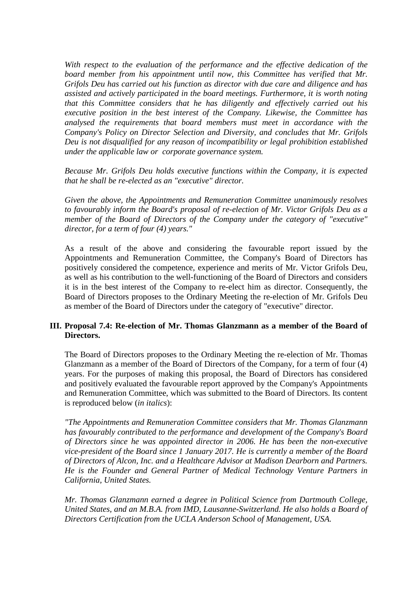*With respect to the evaluation of the performance and the effective dedication of the board member from his appointment until now, this Committee has verified that Mr. Grifols Deu has carried out his function as director with due care and diligence and has assisted and actively participated in the board meetings. Furthermore, it is worth noting that this Committee considers that he has diligently and effectively carried out his executive position in the best interest of the Company. Likewise, the Committee has analysed the requirements that board members must meet in accordance with the Company's Policy on Director Selection and Diversity, and concludes that Mr. Grifols Deu is not disqualified for any reason of incompatibility or legal prohibition established under the applicable law or corporate governance system.*

*Because Mr. Grifols Deu holds executive functions within the Company, it is expected that he shall be re-elected as an "executive" director.*

*Given the above, the Appointments and Remuneration Committee unanimously resolves to favourably inform the Board's proposal of re-election of Mr. Victor Grifols Deu as a member of the Board of Directors of the Company under the category of "executive" director, for a term of four (4) years."*

As a result of the above and considering the favourable report issued by the Appointments and Remuneration Committee, the Company's Board of Directors has positively considered the competence, experience and merits of Mr. Victor Grifols Deu, as well as his contribution to the well-functioning of the Board of Directors and considers it is in the best interest of the Company to re-elect him as director. Consequently, the Board of Directors proposes to the Ordinary Meeting the re-election of Mr. Grifols Deu as member of the Board of Directors under the category of "executive" director.

### **III. Proposal 7.4: Re-election of Mr. Thomas Glanzmann as a member of the Board of Directors.**

The Board of Directors proposes to the Ordinary Meeting the re-election of Mr. Thomas Glanzmann as a member of the Board of Directors of the Company, for a term of four (4) years. For the purposes of making this proposal, the Board of Directors has considered and positively evaluated the favourable report approved by the Company's Appointments and Remuneration Committee, which was submitted to the Board of Directors. Its content is reproduced below (*in italics*):

*"The Appointments and Remuneration Committee considers that Mr. Thomas Glanzmann has favourably contributed to the performance and development of the Company's Board of Directors since he was appointed director in 2006. He has been the non-executive vice-president of the Board since 1 January 2017. He is currently a member of the Board of Directors of Alcon, Inc. and a Healthcare Advisor at Madison Dearborn and Partners. He is the Founder and General Partner of Medical Technology Venture Partners in California, United States.*

*Mr. Thomas Glanzmann earned a degree in Political Science from Dartmouth College, United States, and an M.B.A. from IMD, Lausanne-Switzerland. He also holds a Board of Directors Certification from the UCLA Anderson School of Management, USA.*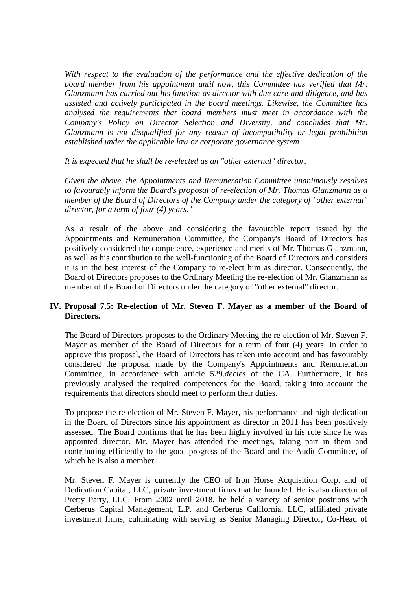*With respect to the evaluation of the performance and the effective dedication of the board member from his appointment until now, this Committee has verified that Mr. Glanzmann has carried out his function as director with due care and diligence, and has assisted and actively participated in the board meetings. Likewise, the Committee has analysed the requirements that board members must meet in accordance with the Company's Policy on Director Selection and Diversity, and concludes that Mr. Glanzmann is not disqualified for any reason of incompatibility or legal prohibition established under the applicable law or corporate governance system.*

*It is expected that he shall be re-elected as an "other external" director.*

*Given the above, the Appointments and Remuneration Committee unanimously resolves to favourably inform the Board's proposal of re-election of Mr. Thomas Glanzmann as a member of the Board of Directors of the Company under the category of "other external" director, for a term of four (4) years."*

As a result of the above and considering the favourable report issued by the Appointments and Remuneration Committee, the Company's Board of Directors has positively considered the competence, experience and merits of Mr. Thomas Glanzmann, as well as his contribution to the well-functioning of the Board of Directors and considers it is in the best interest of the Company to re-elect him as director. Consequently, the Board of Directors proposes to the Ordinary Meeting the re-election of Mr. Glanzmann as member of the Board of Directors under the category of "other external" director.

# **IV. Proposal 7.5: Re-election of Mr. Steven F. Mayer as a member of the Board of Directors.**

The Board of Directors proposes to the Ordinary Meeting the re-election of Mr. Steven F. Mayer as member of the Board of Directors for a term of four (4) years. In order to approve this proposal, the Board of Directors has taken into account and has favourably considered the proposal made by the Company's Appointments and Remuneration Committee, in accordance with article 529.*decies* of the CA. Furthermore, it has previously analysed the required competences for the Board, taking into account the requirements that directors should meet to perform their duties.

To propose the re-election of Mr. Steven F. Mayer, his performance and high dedication in the Board of Directors since his appointment as director in 2011 has been positively assessed. The Board confirms that he has been highly involved in his role since he was appointed director. Mr. Mayer has attended the meetings, taking part in them and contributing efficiently to the good progress of the Board and the Audit Committee, of which he is also a member.

Mr. Steven F. Mayer is currently the CEO of Iron Horse Acquisition Corp. and of Dedication Capital, LLC, private investment firms that he founded. He is also director of Pretty Party, LLC. From 2002 until 2018, he held a variety of senior positions with Cerberus Capital Management, L.P. and Cerberus California, LLC, affiliated private investment firms, culminating with serving as Senior Managing Director, Co-Head of